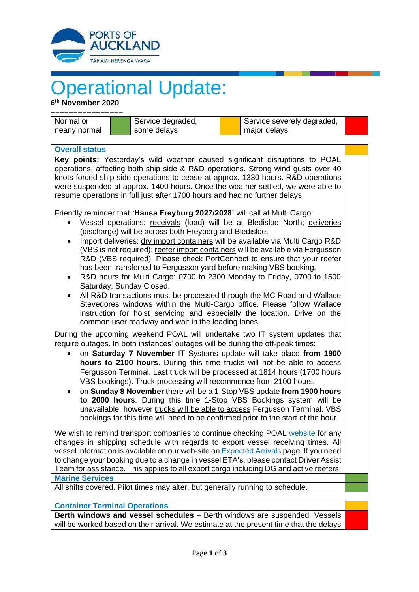

## **Operational Update:**

**6 th November 2020**

| Normal or     |  | Service degraded, |  | Service severely degraded, |  |  |
|---------------|--|-------------------|--|----------------------------|--|--|
| nearly normal |  | some delays       |  | major delays               |  |  |

**Overall status Key points:** Yesterday's wild weather caused significant disruptions to POAL operations, affecting both ship side & R&D operations. Strong wind gusts over 40 knots forced ship side operations to cease at approx. 1330 hours. R&D operations were suspended at approx. 1400 hours. Once the weather settled, we were able to resume operations in full just after 1700 hours and had no further delays.

Friendly reminder that **'Hansa Freyburg 2027/2028'** will call at Multi Cargo:

- Vessel operations: receivals (load) will be at Bledisloe North; deliveries (discharge) will be across both Freyberg and Bledisloe.
- Import deliveries: dry import containers will be available via Multi Cargo R&D (VBS is not required); reefer import containers will be available via Fergusson R&D (VBS required). Please check PortConnect to ensure that your reefer has been transferred to Fergusson yard before making VBS booking.
- R&D hours for Multi Cargo: 0700 to 2300 Monday to Friday, 0700 to 1500 Saturday, Sunday Closed.
- All R&D transactions must be processed through the MC Road and Wallace Stevedores windows within the Multi-Cargo office. Please follow Wallace instruction for hoist servicing and especially the location. Drive on the common user roadway and wait in the loading lanes.

During the upcoming weekend POAL will undertake two IT system updates that require outages. In both instances' outages will be during the off-peak times:

- on **Saturday 7 November** IT Systems update will take place **from 1900 hours to 2100 hours**. During this time trucks will not be able to access Fergusson Terminal. Last truck will be processed at 1814 hours (1700 hours VBS bookings). Truck processing will recommence from 2100 hours.
- on **Sunday 8 November** there will be a 1-Stop VBS update **from 1900 hours to 2000 hours**. During this time 1-Stop VBS Bookings system will be unavailable, however trucks will be able to access Fergusson Terminal. VBS bookings for this time will need to be confirmed prior to the start of the hour.

We wish to remind transport companies to continue checking POAL [website](http://www.poal.co.nz/) for any changes in shipping schedule with regards to export vessel receiving times. All vessel information is available on our web-site o[n Expected Arrivals](https://www.poal.co.nz/operations/schedules/arrivals) page. If you need to change your booking due to a change in vessel ETA's, please contact Driver Assist Team for assistance. This applies to all export cargo including DG and active reefers. **Marine Services**

All shifts covered. Pilot times may alter, but generally running to schedule.

## **Container Terminal Operations**

**Berth windows and vessel schedules** – Berth windows are suspended. Vessels will be worked based on their arrival. We estimate at the present time that the delays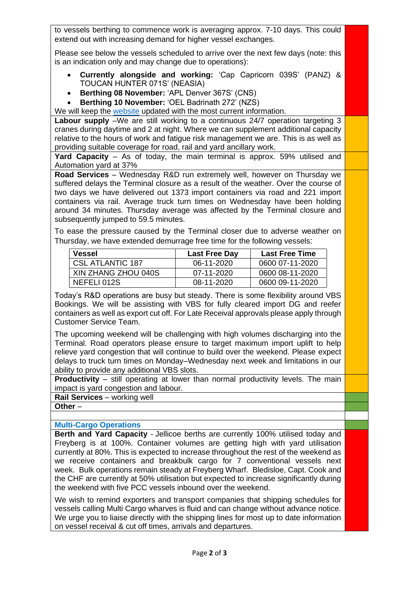to vessels berthing to commence work is averaging approx. 7-10 days. This could extend out with increasing demand for higher vessel exchanges.

Please see below the vessels scheduled to arrive over the next few days (note: this is an indication only and may change due to operations):

- **Currently alongside and working:** 'Cap Capricorn 039S' (PANZ) & TOUCAN HUNTER 071S' (NEASIA)
- **Berthing 08 November:** 'APL Denver 367S' (CNS)
- **Berthing 10 November:** 'OEL Badrinath 272' (NZS)

We will keep the [website](http://www.poal.co.nz/) updated with the most current information.

**Labour supply** –We are still working to a continuous 24/7 operation targeting 3 cranes during daytime and 2 at night. Where we can supplement additional capacity relative to the hours of work and fatigue risk management we are. This is as well as providing suitable coverage for road, rail and yard ancillary work.

**Yard Capacity** – As of today, the main terminal is approx. 59% utilised and Automation yard at 37%

**Road Services** – Wednesday R&D run extremely well, however on Thursday we suffered delays the Terminal closure as a result of the weather. Over the course of two days we have delivered out 1373 import containers via road and 221 import containers via rail. Average truck turn times on Wednesday have been holding around 34 minutes. Thursday average was affected by the Terminal closure and subsequently jumped to 59.5 minutes.

To ease the pressure caused by the Terminal closer due to adverse weather on Thursday, we have extended demurrage free time for the following vessels:

| <b>Vessel</b>       | <b>Last Free Day</b> | <b>Last Free Time</b> |
|---------------------|----------------------|-----------------------|
| CSL ATLANTIC 187    | 06-11-2020           | 0600 07-11-2020       |
| XIN ZHANG ZHOU 040S | $07-11-2020$         | 0600 08-11-2020       |
| NEFELI 012S         | 08-11-2020           | 0600 09-11-2020       |

Today's R&D operations are busy but steady. There is some flexibility around VBS Bookings. We will be assisting with VBS for fully cleared import DG and reefer containers as well as export cut off. For Late Receival approvals please apply through Customer Service Team.

The upcoming weekend will be challenging with high volumes discharging into the Terminal. Road operators please ensure to target maximum import uplift to help relieve yard congestion that will continue to build over the weekend. Please expect delays to truck turn times on Monday–Wednesday next week and limitations in our ability to provide any additional VBS slots.

**Productivity** – still operating at lower than normal productivity levels. The main impact is yard congestion and labour.

**Rail Services** – working well **Other** –

## **Multi-Cargo Operations**

**Berth and Yard Capacity** - Jellicoe berths are currently 100% utilised today and Freyberg is at 100%. Container volumes are getting high with yard utilisation currently at 80%. This is expected to increase throughout the rest of the weekend as we receive containers and breakbulk cargo for 7 conventional vessels next week. Bulk operations remain steady at Freyberg Wharf. Bledisloe, Capt. Cook and the CHF are currently at 50% utilisation but expected to increase significantly during the weekend with five PCC vessels inbound over the weekend.

We wish to remind exporters and transport companies that shipping schedules for vessels calling Multi Cargo wharves is fluid and can change without advance notice. We urge you to liaise directly with the shipping lines for most up to date information on vessel receival & cut off times, arrivals and departures.